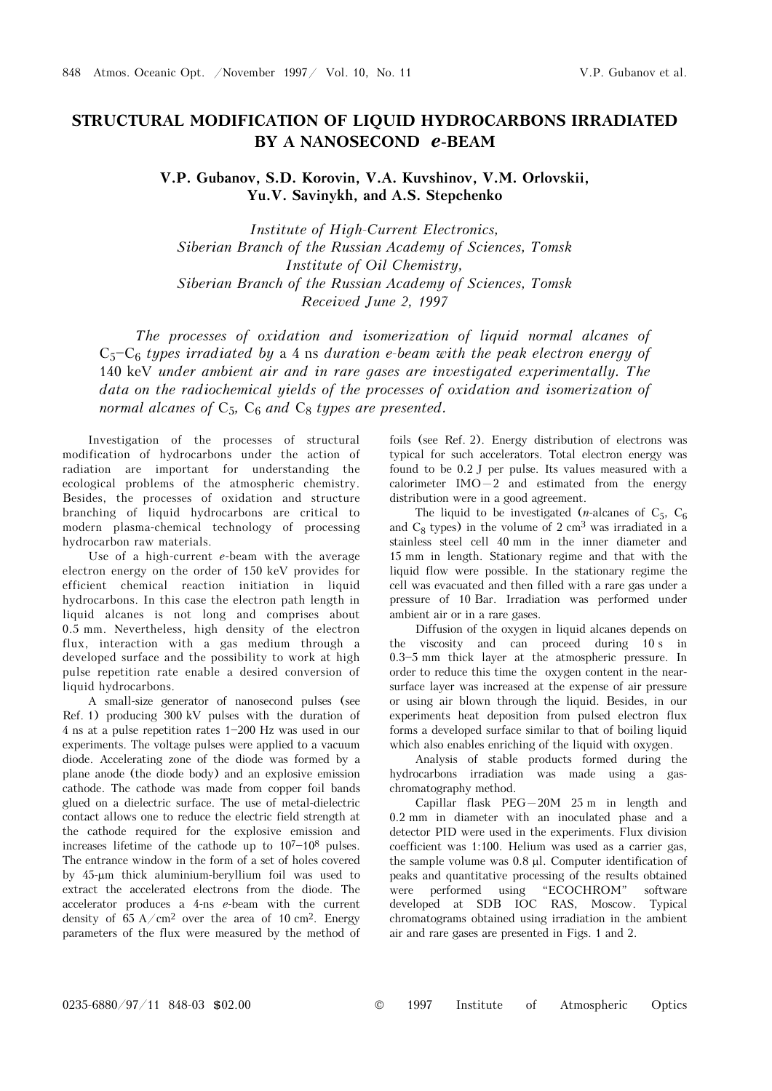## **STRUCTURAL MODIFICATION OF LIQUID HYDROCARBONS IRRADIATED BY A NANOSECOND** *e***-BEAM**

**V.P. Gubanov, S.D. Korovin, V.A. Kuvshinov, V.M. Orlovskii, Yu.V. Savinykh, and A.S. Stepchenko** 

*Institute of High-Current Electronics, Siberian Branch of the Russian Academy of Sciences, Tomsk Institute of Oil Chemistry, Siberian Branch of the Russian Academy of Sciences, Tomsk Received June 2, 1997* 

*The processes of oxidation and isomerization of liquid normal alcanes of*   $C_5-C_6$  types irradiated by a 4 ns duration e-beam with the peak electron energy of 140 keV *under ambient air and in rare gases are investigated experimentally. The data on the radiochemical yields of the processes of oxidation and isomerization of normal alcanes of*  $C_5$ ,  $C_6$  *and*  $C_8$  *types are presented.* 

Investigation of the processes of structural modification of hydrocarbons under the action of radiation are important for understanding the ecological problems of the atmospheric chemistry. Besides, the processes of oxidation and structure branching of liquid hydrocarbons are critical to modern plasma-chemical technology of processing hydrocarbon raw materials.

Use of a high-current *e*-beam with the average electron energy on the order of 150 keV provides for efficient chemical reaction initiation in liquid hydrocarbons. In this case the electron path length in liquid alcanes is not long and comprises about 0.5 mm. Nevertheless, high density of the electron flux, interaction with a gas medium through a developed surface and the possibility to work at high pulse repetition rate enable a desired conversion of liquid hydrocarbons.

A small-size generator of nanosecond pulses (see Ref. 1) producing 300 kV pulses with the duration of 4 ns at a pulse repetition rates 1\$200 Hz was used in our experiments. The voltage pulses were applied to a vacuum diode. Accelerating zone of the diode was formed by a plane anode (the diode body) and an explosive emission cathode. The cathode was made from copper foil bands glued on a dielectric surface. The use of metal-dielectric contact allows one to reduce the electric field strength at the cathode required for the explosive emission and increases lifetime of the cathode up to  $10^{7}-10^{8}$  pulses. The entrance window in the form of a set of holes covered by 45-μm thick aluminium-beryllium foil was used to extract the accelerated electrons from the diode. The accelerator produces a 4-ns *e*-beam with the current density of  $65 \text{ A/cm}^2$  over the area of 10 cm<sup>2</sup>. Energy parameters of the flux were measured by the method of

foils (see Ref. 2). Energy distribution of electrons was typical for such accelerators. Total electron energy was found to be 0.2 J per pulse. Its values measured with a calorimeter  $IMO-2$  and estimated from the energy distribution were in a good agreement.

The liquid to be investigated (*n*-alcanes of  $C_5$ ,  $C_6$ and  $C_8$  types) in the volume of 2 cm<sup>3</sup> was irradiated in a stainless steel cell 40 mm in the inner diameter and 15 mm in length. Stationary regime and that with the liquid flow were possible. In the stationary regime the cell was evacuated and then filled with a rare gas under a pressure of 10 Bar. Irradiation was performed under ambient air or in a rare gases.

Diffusion of the oxygen in liquid alcanes depends on the viscosity and can proceed during 10 s in  $0.3 - 5$  mm thick layer at the atmospheric pressure. In order to reduce this time the oxygen content in the nearsurface layer was increased at the expense of air pressure or using air blown through the liquid. Besides, in our experiments heat deposition from pulsed electron flux forms a developed surface similar to that of boiling liquid which also enables enriching of the liquid with oxygen.

Analysis of stable products formed during the hydrocarbons irradiation was made using a gaschromatography method.

Capillar flask  $PEG-20M$  25 m in length and 0.2 mm in diameter with an inoculated phase and a detector PID were used in the experiments. Flux division coefficient was 1:100. Helium was used as a carrier gas, the sample volume was 0.8 μl. Computer identification of peaks and quantitative processing of the results obtained were performed using "ECOCHROM" software developed at SDB IOC RAS, Moscow. Typical chromatograms obtained using irradiation in the ambient air and rare gases are presented in Figs. 1 and 2.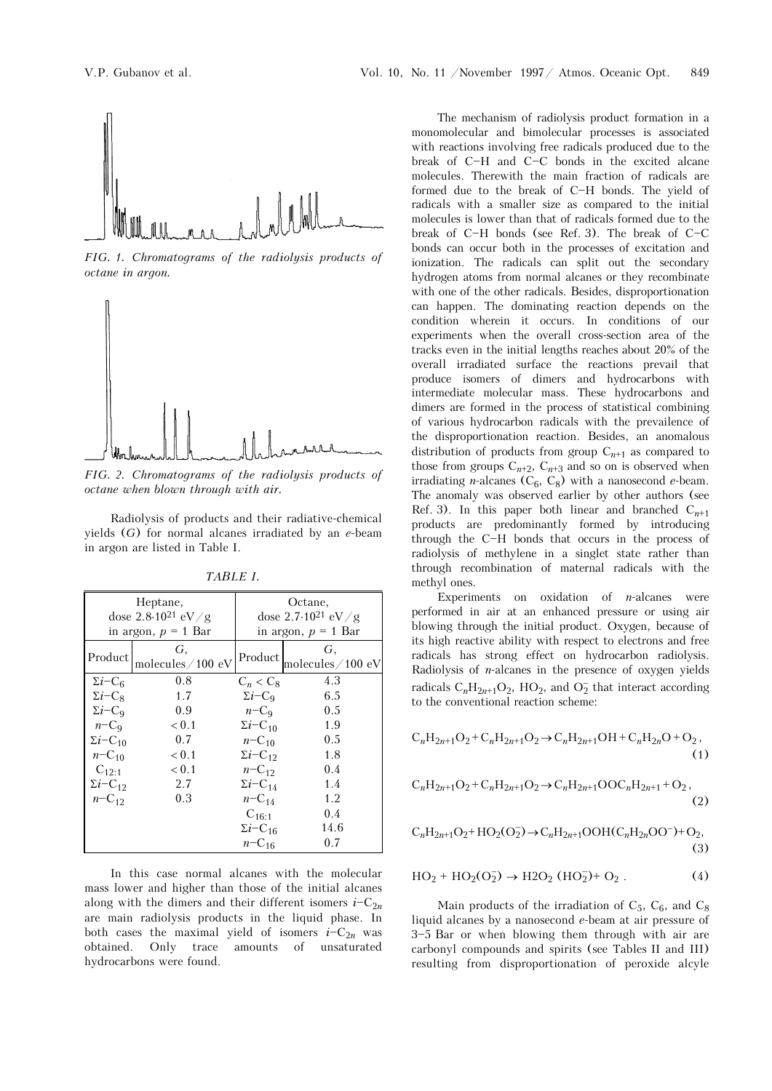

*FIG. 1. Chromatograms of the radiolysis products of octane in argon.* 



*FIG. 2. Chromatograms of the radiolysis products of octane when blown through with air.*

Radiolysis of products and their radiative-chemical yields (*G*) for normal alcanes irradiated by an *e*-beam in argon are listed in Table I.

| Heptane,                      |                        | Octane,                         |                        |
|-------------------------------|------------------------|---------------------------------|------------------------|
| dose $2.8 \cdot 10^{21}$ eV/g |                        | dose $2.7 \cdot 10^{21}$ eV / g |                        |
| in argon, $p = 1$ Bar         |                        | in argon, $p = 1$ Bar           |                        |
| Product                       | G,<br>molecules/100 eV | Product                         | G,<br>molecules/100 eV |
| $\Sigma i$ –C <sub>6</sub>    | 0.8                    | $C_n < C_8$                     | 4.3                    |
| $\Sigma i$ – $C_8$            | 1.7                    | $\Sigma i$ – $C_9$              | 6.5                    |
| $\Sigma i$ –C <sub>9</sub>    | 0.9                    | $n-C_9$                         | 0.5                    |
| $n-C_9$                       | < 0.1                  | $\Sigma i$ –C <sub>10</sub>     | 1.9                    |
| $\Sigma i$ – $C_{10}$         | 0.7                    | $n - C_{10}$                    | 0.5                    |
| $n - C_{10}$                  | < 0.1                  | $\Sigma i$ –C <sub>12</sub>     | 1.8                    |
| $C_{12:1}$                    | < 0.1                  | $n - C_{12}$                    | 0.4                    |
| $\Sigma i$ – $C_{12}$         | 2.7                    | $\Sigma i$ – $C_{14}$           | 1.4                    |
| $n - C_{12}$                  | 0.3                    | $n - C_{14}$                    | 1.2                    |
|                               |                        | $C_{16:1}$                      | 0.4                    |
|                               |                        | $\Sigma i$ – $C_{16}$           | 14.6                   |
|                               |                        | $n - C_{16}$                    | 0.7                    |

*TABLE I.* 

In this case normal alcanes with the molecular mass lower and higher than those of the initial alcanes along with the dimers and their different isomers  $i-C_{2n}$ are main radiolysis products in the liquid phase. In both cases the maximal yield of isomers  $i-C_{2n}$  was obtained. Only trace amounts of unsaturated hydrocarbons were found.

The mechanism of radiolysis product formation in a monomolecular and bimolecular processes is associated with reactions involving free radicals produced due to the break of C-H and C-C bonds in the excited alcane molecules. Therewith the main fraction of radicals are formed due to the break of C-H bonds. The yield of radicals with a smaller size as compared to the initial molecules is lower than that of radicals formed due to the break of  $C-H$  bonds (see Ref. 3). The break of  $C-C$ bonds can occur both in the processes of excitation and ionization. The radicals can split out the secondary hydrogen atoms from normal alcanes or they recombinate with one of the other radicals. Besides, disproportionation can happen. The dominating reaction depends on the condition wherein it occurs. In conditions of our experiments when the overall cross-section area of the tracks even in the initial lengths reaches about 20% of the overall irradiated surface the reactions prevail that produce isomers of dimers and hydrocarbons with intermediate molecular mass. These hydrocarbons and dimers are formed in the process of statistical combining of various hydrocarbon radicals with the prevailence of the disproportionation reaction. Besides, an anomalous distribution of products from group  $C_{n+1}$  as compared to those from groups  $C_{n+2}$ ,  $C_{n+3}$  and so on is observed when irradiating *n*-alcanes  $(C_6, C_8)$  with a nanosecond *e*-beam. The anomaly was observed earlier by other authors (see Ref. 3). In this paper both linear and branched  $C_{n+1}$ products are predominantly formed by introducing through the C-H bonds that occurs in the process of radiolysis of methylene in a singlet state rather than through recombination of maternal radicals with the methyl ones.

Experiments on oxidation of *n*-alcanes were performed in air at an enhanced pressure or using air blowing through the initial product. Oxygen, because of its high reactive ability with respect to electrons and free radicals has strong effect on hydrocarbon radiolysis. Radiolysis of *n*-alcanes in the presence of oxygen yields radicals  $C_nH_{2n+1}O_2$ , HO<sub>2</sub>, and  $O_2^-$  that interact according to the conventional reaction scheme:

$$
C_nH_{2n+1}O_2 + C_nH_{2n+1}O_2 \to C_nH_{2n+1}OH + C_nH_{2n}O + O_2, \tag{1}
$$

$$
C_nH_{2n+1}O_2 + C_nH_{2n+1}O_2 \to C_nH_{2n+1}OOC_nH_{2n+1} + O_2,
$$
\n(2)

$$
C_nH_{2n+1}O_2 + HO_2(O_2^-) \to C_nH_{2n+1}OOH(C_nH_{2n}OO^-) + O_2,
$$
\n(3)

$$
HO_2 + HO_2(O_2^-) \to H2O_2 (HO_2^-) + O_2 . \tag{4}
$$

Main products of the irradiation of  $C_5$ ,  $C_6$ , and  $C_8$ liquid alcanes by a nanosecond *e*-beam at air pressure of  $3-5$  Bar or when blowing them through with air are carbonyl compounds and spirits (see Tables II and III) resulting from disproportionation of peroxide alcyle